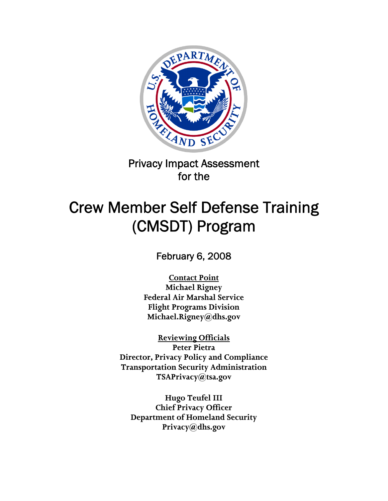

Privacy Impact Assessment for the

# Crew Member Self Defense Training (CMSDT) Program

February 6, 2008

**Contact Point Michael Rigney Federal Air Marshal Service Flight Programs Division Michael.Rigney@dhs.gov** 

**Reviewing Officials Peter Pietra Director, Privacy Policy and Compliance Transportation Security Administration TSAPrivacy@tsa.gov** 

**Hugo Teufel III Chief Privacy Officer Department of Homeland Security Privacy@dhs.gov**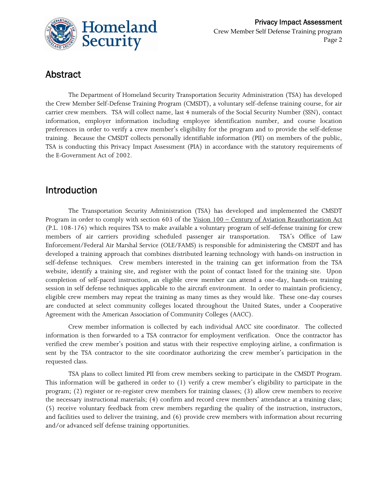

# Abstract

The Department of Homeland Security Transportation Security Administration (TSA) has developed the Crew Member Self-Defense Training Program (CMSDT), a voluntary self-defense training course, for air carrier crew members. TSA will collect name, last 4 numerals of the Social Security Number (SSN), contact information, employer information including employee identification number, and course location preferences in order to verify a crew member's eligibility for the program and to provide the self-defense training. Because the CMSDT collects personally identifiable information (PII) on members of the public, TSA is conducting this Privacy Impact Assessment (PIA) in accordance with the statutory requirements of the E-Government Act of 2002.

# Introduction

The Transportation Security Administration (TSA) has developed and implemented the CMSDT Program in order to comply with section 603 of the Vision 100 – Century of Aviation Reauthorization Act (P.L. 108-176) which requires TSA to make available a voluntary program of self-defense training for crew members of air carriers providing scheduled passenger air transportation. TSA's Office of Law Enforcement/Federal Air Marshal Service (OLE/FAMS) is responsible for administering the CMSDT and has developed a training approach that combines distributed learning technology with hands-on instruction in self-defense techniques. Crew members interested in the training can get information from the TSA website, identify a training site, and register with the point of contact listed for the training site. Upon completion of self-paced instruction, an eligible crew member can attend a one-day, hands-on training session in self defense techniques applicable to the aircraft environment. In order to maintain proficiency, eligible crew members may repeat the training as many times as they would like. These one-day courses are conducted at select community colleges located throughout the United States, under a Cooperative Agreement with the American Association of Community Colleges (AACC).

Crew member information is collected by each individual AACC site coordinator. The collected information is then forwarded to a TSA contractor for employment verification. Once the contractor has verified the crew member's position and status with their respective employing airline, a confirmation is sent by the TSA contractor to the site coordinator authorizing the crew member's participation in the requested class.

TSA plans to collect limited PII from crew members seeking to participate in the CMSDT Program. This information will be gathered in order to (1) verify a crew member's eligibility to participate in the program; (2) register or re-register crew members for training classes; (3) allow crew members to receive the necessary instructional materials; (4) confirm and record crew members' attendance at a training class; (5) receive voluntary feedback from crew members regarding the quality of the instruction, instructors, and facilities used to deliver the training, and (6) provide crew members with information about recurring and/or advanced self defense training opportunities.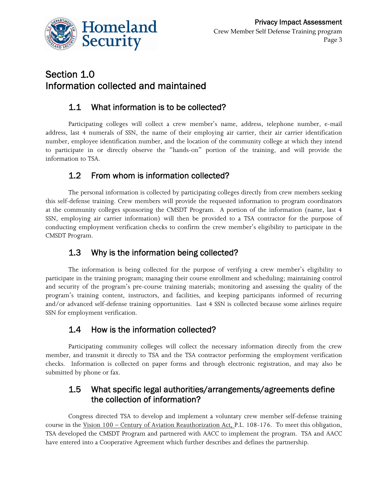

# Section 1.0 Information collected and maintained

## 1.1 What information is to be collected?

Participating colleges will collect a crew member's name, address, telephone number, e-mail address, last 4 numerals of SSN, the name of their employing air carrier, their air carrier identification number, employee identification number, and the location of the community college at which they intend to participate in or directly observe the "hands-on" portion of the training, and will provide the information to TSA.

## 1.2 From whom is information collected?

The personal information is collected by participating colleges directly from crew members seeking this self-defense training. Crew members will provide the requested information to program coordinators at the community colleges sponsoring the CMSDT Program. A portion of the information (name, last 4 SSN, employing air carrier information) will then be provided to a TSA contractor for the purpose of conducting employment verification checks to confirm the crew member's eligibility to participate in the CMSDT Program.

## 1.3 Why is the information being collected?

The information is being collected for the purpose of verifying a crew member's eligibility to participate in the training program; managing their course enrollment and scheduling; maintaining control and security of the program's pre-course training materials; monitoring and assessing the quality of the program's training content, instructors, and facilities, and keeping participants informed of recurring and/or advanced self-defense training opportunities. Last 4 SSN is collected because some airlines require SSN for employment verification.

#### 1.4 How is the information collected?

Participating community colleges will collect the necessary information directly from the crew member, and transmit it directly to TSA and the TSA contractor performing the employment verification checks. Information is collected on paper forms and through electronic registration, and may also be submitted by phone or fax.

#### 1.5 What specific legal authorities/arrangements/agreements define the collection of information?

Congress directed TSA to develop and implement a voluntary crew member self-defense training course in the Vision 100 – Century of Aviation Reauthorization Act, P.L. 108-176. To meet this obligation, TSA developed the CMSDT Program and partnered with AACC to implement the program.TSA and AACC have entered into a Cooperative Agreement which further describes and defines the partnership.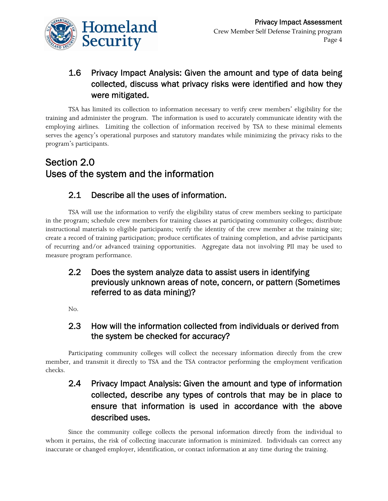

## 1.6 Privacy Impact Analysis: Given the amount and type of data being collected, discuss what privacy risks were identified and how they were mitigated.

TSA has limited its collection to information necessary to verify crew members' eligibility for the training and administer the program. The information is used to accurately communicate identity with the employing airlines. Limiting the collection of information received by TSA to these minimal elements serves the agency's operational purposes and statutory mandates while minimizing the privacy risks to the program's participants.

# Section 2.0 Uses of the system and the information

## 2.1 Describe all the uses of information.

TSA will use the information to verify the eligibility status of crew members seeking to participate in the program; schedule crew members for training classes at participating community colleges; distribute instructional materials to eligible participants; verify the identity of the crew member at the training site; create a record of training participation; produce certificates of training completion, and advise participants of recurring and/or advanced training opportunities. Aggregate data not involving PII may be used to measure program performance.

## 2.2 Does the system analyze data to assist users in identifying previously unknown areas of note, concern, or pattern (Sometimes referred to as data mining)?

No.

#### 2.3 How will the information collected from individuals or derived from the system be checked for accuracy?

Participating community colleges will collect the necessary information directly from the crew member, and transmit it directly to TSA and the TSA contractor performing the employment verification checks.

## 2.4 Privacy Impact Analysis: Given the amount and type of information collected, describe any types of controls that may be in place to ensure that information is used in accordance with the above described uses.

Since the community college collects the personal information directly from the individual to whom it pertains, the risk of collecting inaccurate information is minimized. Individuals can correct any inaccurate or changed employer, identification, or contact information at any time during the training.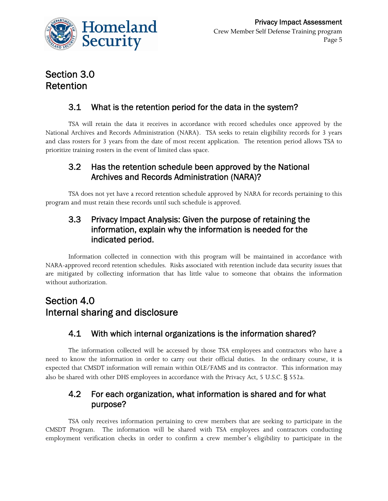

# Section 3.0 Retention

## 3.1 What is the retention period for the data in the system?

TSA will retain the data it receives in accordance with record schedules once approved by the National Archives and Records Administration (NARA). TSA seeks to retain eligibility records for 3 years and class rosters for 3 years from the date of most recent application. The retention period allows TSA to prioritize training rosters in the event of limited class space.

#### 3.2 Has the retention schedule been approved by the National Archives and Records Administration (NARA)?

TSA does not yet have a record retention schedule approved by NARA for records pertaining to this program and must retain these records until such schedule is approved.

#### 3.3 Privacy Impact Analysis: Given the purpose of retaining the information, explain why the information is needed for the indicated period.

Information collected in connection with this program will be maintained in accordance with NARA-approved record retention schedules. Risks associated with retention include data security issues that are mitigated by collecting information that has little value to someone that obtains the information without authorization.

# Section 4.0 Internal sharing and disclosure

## 4.1 With which internal organizations is the information shared?

The information collected will be accessed by those TSA employees and contractors who have a need to know the information in order to carry out their official duties. In the ordinary course, it is expected that CMSDT information will remain within OLE/FAMS and its contractor. This information may also be shared with other DHS employees in accordance with the Privacy Act, 5 U.S.C. § 552a.

#### 4.2 For each organization, what information is shared and for what purpose?

TSA only receives information pertaining to crew members that are seeking to participate in the CMSDT Program. The information will be shared with TSA employees and contractors conducting employment verification checks in order to confirm a crew member's eligibility to participate in the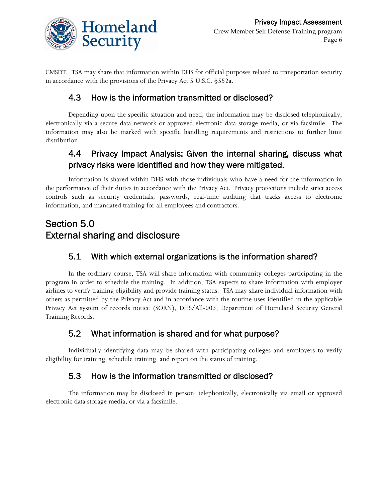

CMSDT. TSA may share that information within DHS for official purposes related to transportation security in accordance with the provisions of the Privacy Act 5 U.S.C. §552a.

#### 4.3 How is the information transmitted or disclosed?

Depending upon the specific situation and need, the information may be disclosed telephonically, electronically via a secure data network or approved electronic data storage media, or via facsimile. The information may also be marked with specific handling requirements and restrictions to further limit distribution.

## 4.4 Privacy Impact Analysis: Given the internal sharing, discuss what privacy risks were identified and how they were mitigated.

Information is shared within DHS with those individuals who have a need for the information in the performance of their duties in accordance with the Privacy Act. Privacy protections include strict access controls such as security credentials, passwords, real-time auditing that tracks access to electronic information, and mandated training for all employees and contractors.

# Section 5.0 External sharing and disclosure

## 5.1 With which external organizations is the information shared?

In the ordinary course, TSA will share information with community colleges participating in the program in order to schedule the training. In addition, TSA expects to share information with employer airlines to verify training eligibility and provide training status. TSA may share individual information with others as permitted by the Privacy Act and in accordance with the routine uses identified in the applicable Privacy Act system of records notice (SORN), DHS/All-003, Department of Homeland Security General Training Records.

#### 5.2 What information is shared and for what purpose?

Individually identifying data may be shared with participating colleges and employers to verify eligibility for training, schedule training, and report on the status of training.

#### 5.3 How is the information transmitted or disclosed?

The information may be disclosed in person, telephonically, electronically via email or approved electronic data storage media, or via a facsimile.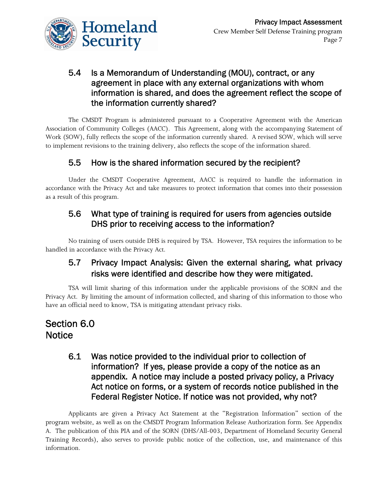

#### 5.4 Is a Memorandum of Understanding (MOU), contract, or any agreement in place with any external organizations with whom information is shared, and does the agreement reflect the scope of the information currently shared?

The CMSDT Program is administered pursuant to a Cooperative Agreement with the American Association of Community Colleges (AACC). This Agreement, along with the accompanying Statement of Work (SOW), fully reflects the scope of the information currently shared. A revised SOW, which will serve to implement revisions to the training delivery, also reflects the scope of the information shared.

## 5.5 How is the shared information secured by the recipient?

Under the CMSDT Cooperative Agreement, AACC is required to handle the information in accordance with the Privacy Act and take measures to protect information that comes into their possession as a result of this program.

#### 5.6 What type of training is required for users from agencies outside DHS prior to receiving access to the information?

No training of users outside DHS is required by TSA. However, TSA requires the information to be handled in accordance with the Privacy Act.

#### 5.7 Privacy Impact Analysis: Given the external sharing, what privacy risks were identified and describe how they were mitigated.

TSA will limit sharing of this information under the applicable provisions of the SORN and the Privacy Act. By limiting the amount of information collected, and sharing of this information to those who have an official need to know, TSA is mitigating attendant privacy risks.

# Section 6.0 **Notice**

6.1 Was notice provided to the individual prior to collection of information? If yes, please provide a copy of the notice as an appendix. A notice may include a posted privacy policy, a Privacy Act notice on forms, or a system of records notice published in the Federal Register Notice. If notice was not provided, why not?

Applicants are given a Privacy Act Statement at the "Registration Information" section of the program website, as well as on the CMSDT Program Information Release Authorization form. See Appendix A. The publication of this PIA and of the SORN (DHS/All-003, Department of Homeland Security General Training Records), also serves to provide public notice of the collection, use, and maintenance of this information.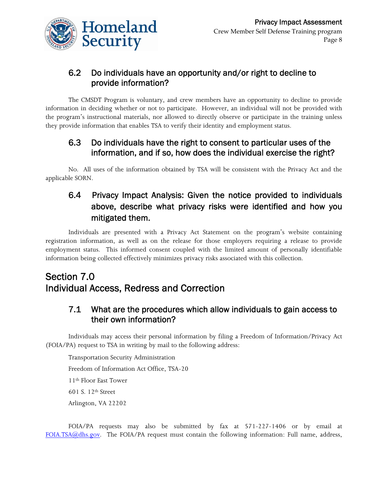

#### 6.2 Do individuals have an opportunity and/or right to decline to provide information?

The CMSDT Program is voluntary, and crew members have an opportunity to decline to provide information in deciding whether or not to participate. However, an individual will not be provided with the program's instructional materials, nor allowed to directly observe or participate in the training unless they provide information that enables TSA to verify their identity and employment status.

#### 6.3 Do individuals have the right to consent to particular uses of the information, and if so, how does the individual exercise the right?

No. All uses of the information obtained by TSA will be consistent with the Privacy Act and the applicable SORN.

## 6.4 Privacy Impact Analysis: Given the notice provided to individuals above, describe what privacy risks were identified and how you mitigated them.

Individuals are presented with a Privacy Act Statement on the program's website containing registration information, as well as on the release for those employers requiring a release to provide employment status. This informed consent coupled with the limited amount of personally identifiable information being collected effectively minimizes privacy risks associated with this collection.

# Section 7.0 Individual Access, Redress and Correction

#### 7.1 What are the procedures which allow individuals to gain access to their own information?

Individuals may access their personal information by filing a Freedom of Information/Privacy Act (FOIA/PA) request to TSA in writing by mail to the following address:

Transportation Security Administration Freedom of Information Act Office, TSA-20 11th Floor East Tower 601 S. 12th Street Arlington, VA 22202

FOIA/PA requests may also be submitted by fax at 571-227-1406 or by email at [FOIA.TSA@dhs.gov.](mailto:FOIA.TSA@dhs.gov) The FOIA/PA request must contain the following information: Full name, address,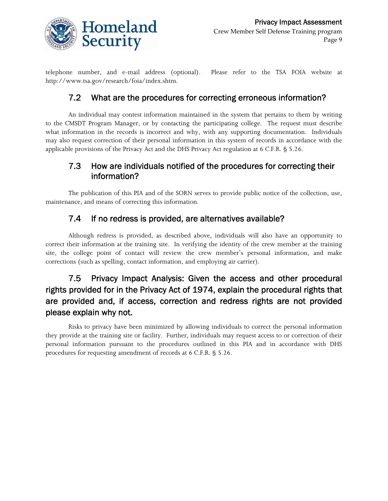

telephone number, and e-mail address (optional). Please refer to the TSA FOIA website at http://www.tsa.gov/research/foia/index.shtm.

#### 7.2 What are the procedures for correcting erroneous information?

An individual may contest information maintained in the system that pertains to them by writing to the CMSDT Program Manager, or by contacting the participating college. The request must describe what information in the records is incorrect and why, with any supporting documentation. Individuals may also request correction of their personal information in this system of records in accordance with the applicable provisions of the Privacy Act and the DHS Privacy Act regulation at 6 C.F.R. § 5.26.

#### 7.3 How are individuals notified of the procedures for correcting their information?

The publication of this PIA and of the SORN serves to provide public notice of the collection, use, maintenance, and means of correcting this information.

#### 7.4 If no redress is provided, are alternatives available?

Although redress is provided, as described above, individuals will also have an opportunity to correct their information at the training site. In verifying the identity of the crew member at the training site, the college point of contact will review the crew member's personal information, and make corrections (such as spelling, contact information, and employing air carrier).

# 7.5 Privacy Impact Analysis: Given the access and other procedural rights provided for in the Privacy Act of 1974, explain the procedural rights that are provided and, if access, correction and redress rights are not provided please explain why not.

Risks to privacy have been minimized by allowing individuals to correct the personal information they provide at the training site or facility. Further, individuals may request access to or correction of their personal information pursuant to the procedures outlined in this PIA and in accordance with DHS procedures for requesting amendment of records at 6 C.F.R. § 5.26.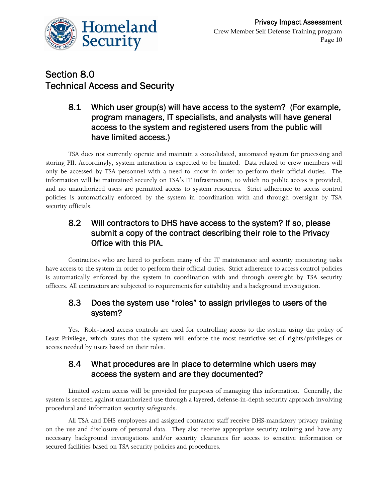

# Section 8.0 Technical Access and Security

#### 8.1 Which user group(s) will have access to the system? (For example, program managers, IT specialists, and analysts will have general access to the system and registered users from the public will have limited access.)

TSA does not currently operate and maintain a consolidated, automated system for processing and storing PII. Accordingly, system interaction is expected to be limited. Data related to crew members will only be accessed by TSA personnel with a need to know in order to perform their official duties. The information will be maintained securely on TSA's IT infrastructure, to which no public access is provided, and no unauthorized users are permitted access to system resources. Strict adherence to access control policies is automatically enforced by the system in coordination with and through oversight by TSA security officials.

#### 8.2 Will contractors to DHS have access to the system? If so, please submit a copy of the contract describing their role to the Privacy Office with this PIA.

Contractors who are hired to perform many of the IT maintenance and security monitoring tasks have access to the system in order to perform their official duties. Strict adherence to access control policies is automatically enforced by the system in coordination with and through oversight by TSA security officers. All contractors are subjected to requirements for suitability and a background investigation.

#### 8.3 Does the system use "roles" to assign privileges to users of the system?

Yes. Role-based access controls are used for controlling access to the system using the policy of Least Privilege, which states that the system will enforce the most restrictive set of rights/privileges or access needed by users based on their roles.

#### 8.4 What procedures are in place to determine which users may access the system and are they documented?

Limited system access will be provided for purposes of managing this information. Generally, the system is secured against unauthorized use through a layered, defense-in-depth security approach involving procedural and information security safeguards.

All TSA and DHS employees and assigned contractor staff receive DHS-mandatory privacy training on the use and disclosure of personal data. They also receive appropriate security training and have any necessary background investigations and/or security clearances for access to sensitive information or secured facilities based on TSA security policies and procedures.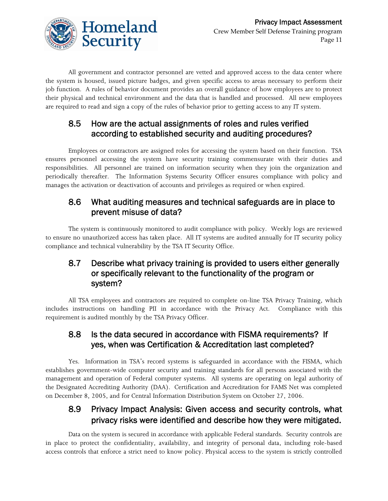

All government and contractor personnel are vetted and approved access to the data center where the system is housed, issued picture badges, and given specific access to areas necessary to perform their job function. A rules of behavior document provides an overall guidance of how employees are to protect their physical and technical environment and the data that is handled and processed. All new employees are required to read and sign a copy of the rules of behavior prior to getting access to any IT system.

#### 8.5 How are the actual assignments of roles and rules verified according to established security and auditing procedures?

Employees or contractors are assigned roles for accessing the system based on their function. TSA ensures personnel accessing the system have security training commensurate with their duties and responsibilities. All personnel are trained on information security when they join the organization and periodically thereafter. The Information Systems Security Officer ensures compliance with policy and manages the activation or deactivation of accounts and privileges as required or when expired.

#### 8.6 What auditing measures and technical safeguards are in place to prevent misuse of data?

The system is continuously monitored to audit compliance with policy. Weekly logs are reviewed to ensure no unauthorized access has taken place. All IT systems are audited annually for IT security policy compliance and technical vulnerability by the TSA IT Security Office.

#### 8.7 Describe what privacy training is provided to users either generally or specifically relevant to the functionality of the program or system?

All TSA employees and contractors are required to complete on-line TSA Privacy Training, which includes instructions on handling PII in accordance with the Privacy Act. Compliance with this requirement is audited monthly by the TSA Privacy Officer.

#### 8.8 Is the data secured in accordance with FISMA requirements? If yes, when was Certification & Accreditation last completed?

Yes. Information in TSA's record systems is safeguarded in accordance with the FISMA, which establishes government-wide computer security and training standards for all persons associated with the management and operation of Federal computer systems. All systems are operating on legal authority of the Designated Accrediting Authority (DAA). Certification and Accreditation for FAMS Net was completed on December 8, 2005, and for Central Information Distribution System on October 27, 2006.

#### 8.9 Privacy Impact Analysis: Given access and security controls, what privacy risks were identified and describe how they were mitigated.

Data on the system is secured in accordance with applicable Federal standards. Security controls are in place to protect the confidentiality, availability, and integrity of personal data, including role-based access controls that enforce a strict need to know policy. Physical access to the system is strictly controlled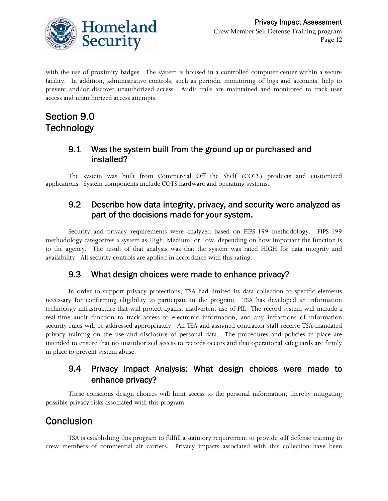

with the use of proximity badges. The system is housed in a controlled computer center within a secure facility. In addition, administrative controls, such as periodic monitoring of logs and accounts, help to prevent and/or discover unauthorized access. Audit trails are maintained and monitored to track user access and unauthorized access attempts.

# Section 9.0 **Technology**

#### 9.1 Was the system built from the ground up or purchased and installed?

The system was built from Commercial Off the Shelf (COTS) products and customized applications. System components include COTS hardware and operating systems.

#### 9.2 Describe how data integrity, privacy, and security were analyzed as part of the decisions made for your system.

Security and privacy requirements were analyzed based on FIPS-199 methodology. FIPS-199 methodology categorizes a system as High, Medium, or Low, depending on how important the function is to the agency. The result of that analysis was that the system was rated HIGH for data integrity and availability. All security controls are applied in accordance with this rating.

#### 9.3 What design choices were made to enhance privacy?

In order to support privacy protections, TSA had limited its data collection to specific elements necessary for confirming eligibility to participate in the program. TSA has developed an information technology infrastructure that will protect against inadvertent use of PII. The record system will include a real-time audit function to track access to electronic information, and any infractions of information security rules will be addressed appropriately. All TSA and assigned contractor staff receive TSA-mandated privacy training on the use and disclosure of personal data. The procedures and policies in place are intended to ensure that no unauthorized access to records occurs and that operational safeguards are firmly in place to prevent system abuse.

#### 9.4 Privacy Impact Analysis: What design choices were made to enhance privacy?

These conscious design choices will limit access to the personal information, thereby mitigating possible privacy risks associated with this program.

# Conclusion

TSA is establishing this program to fulfill a statutory requirement to provide self defense training to crew members of commercial air carriers. Privacy impacts associated with this collection have been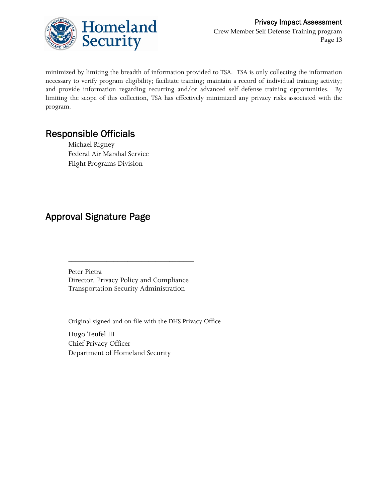

minimized by limiting the breadth of information provided to TSA. TSA is only collecting the information necessary to verify program eligibility; facilitate training; maintain a record of individual training activity; and provide information regarding recurring and/or advanced self defense training opportunities. By limiting the scope of this collection, TSA has effectively minimized any privacy risks associated with the program.

# Responsible Officials

Michael Rigney Federal Air Marshal Service Flight Programs Division

# Approval Signature Page

Peter Pietra Director, Privacy Policy and Compliance Transportation Security Administration

\_\_\_\_\_\_\_\_\_\_\_\_\_\_\_\_\_\_\_\_\_\_\_\_\_\_\_\_\_\_\_\_\_\_\_\_

Original signed and on file with the DHS Privacy Office

Hugo Teufel III Chief Privacy Officer Department of Homeland Security